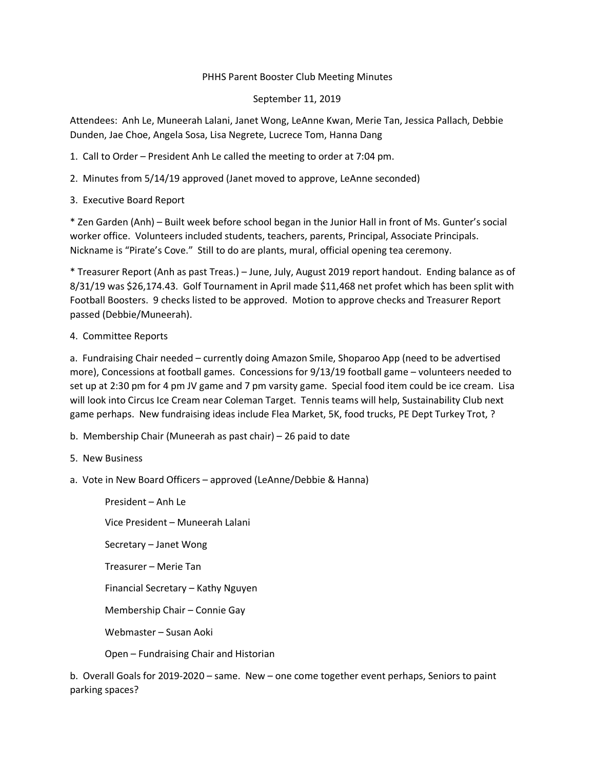## PHHS Parent Booster Club Meeting Minutes

## September 11, 2019

Attendees: Anh Le, Muneerah Lalani, Janet Wong, LeAnne Kwan, Merie Tan, Jessica Pallach, Debbie Dunden, Jae Choe, Angela Sosa, Lisa Negrete, Lucrece Tom, Hanna Dang

- 1. Call to Order President Anh Le called the meeting to order at 7:04 pm.
- 2. Minutes from 5/14/19 approved (Janet moved to approve, LeAnne seconded)
- 3. Executive Board Report

\* Zen Garden (Anh) – Built week before school began in the Junior Hall in front of Ms. Gunter's social worker office. Volunteers included students, teachers, parents, Principal, Associate Principals. Nickname is "Pirate's Cove." Still to do are plants, mural, official opening tea ceremony.

\* Treasurer Report (Anh as past Treas.) – June, July, August 2019 report handout. Ending balance as of 8/31/19 was \$26,174.43. Golf Tournament in April made \$11,468 net profet which has been split with Football Boosters. 9 checks listed to be approved. Motion to approve checks and Treasurer Report passed (Debbie/Muneerah).

## 4. Committee Reports

a. Fundraising Chair needed – currently doing Amazon Smile, Shoparoo App (need to be advertised more), Concessions at football games. Concessions for 9/13/19 football game – volunteers needed to set up at 2:30 pm for 4 pm JV game and 7 pm varsity game. Special food item could be ice cream. Lisa will look into Circus Ice Cream near Coleman Target. Tennis teams will help, Sustainability Club next game perhaps. New fundraising ideas include Flea Market, 5K, food trucks, PE Dept Turkey Trot, ?

- b. Membership Chair (Muneerah as past chair) 26 paid to date
- 5. New Business
- a. Vote in New Board Officers approved (LeAnne/Debbie & Hanna)

President – Anh Le Vice President – Muneerah Lalani Secretary – Janet Wong Treasurer – Merie Tan Financial Secretary – Kathy Nguyen Membership Chair – Connie Gay Webmaster – Susan Aoki Open – Fundraising Chair and Historian

b. Overall Goals for 2019-2020 – same. New – one come together event perhaps, Seniors to paint parking spaces?